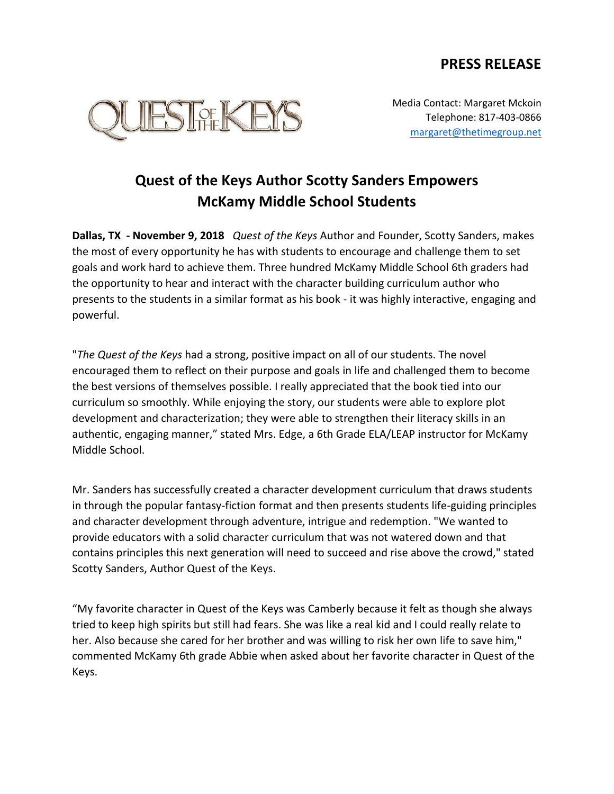## **PRESS RELEASE**



Media Contact: Margaret Mckoin Telephone: 817-403-0866 [margaret@thetimegroup.net](mailto:margaret@thetimegroup.net)

## **Quest of the Keys Author Scotty Sanders Empowers McKamy Middle School Students**

**Dallas, TX - November 9, 2018** *Quest of the Keys* Author and Founder, Scotty Sanders, makes the most of every opportunity he has with students to encourage and challenge them to set goals and work hard to achieve them. Three hundred McKamy Middle School 6th graders had the opportunity to hear and interact with the character building curriculum author who presents to the students in a similar format as his book - it was highly interactive, engaging and powerful.

"*The Quest of the Keys* had a strong, positive impact on all of our students. The novel encouraged them to reflect on their purpose and goals in life and challenged them to become the best versions of themselves possible. I really appreciated that the book tied into our curriculum so smoothly. While enjoying the story, our students were able to explore plot development and characterization; they were able to strengthen their literacy skills in an authentic, engaging manner," stated Mrs. Edge, a 6th Grade ELA/LEAP instructor for McKamy Middle School.

Mr. Sanders has successfully created a character development curriculum that draws students in through the popular fantasy-fiction format and then presents students life-guiding principles and character development through adventure, intrigue and redemption. "We wanted to provide educators with a solid character curriculum that was not watered down and that contains principles this next generation will need to succeed and rise above the crowd," stated Scotty Sanders, Author Quest of the Keys.

"My favorite character in Quest of the Keys was Camberly because it felt as though she always tried to keep high spirits but still had fears. She was like a real kid and I could really relate to her. Also because she cared for her brother and was willing to risk her own life to save him," commented McKamy 6th grade Abbie when asked about her favorite character in Quest of the Keys.